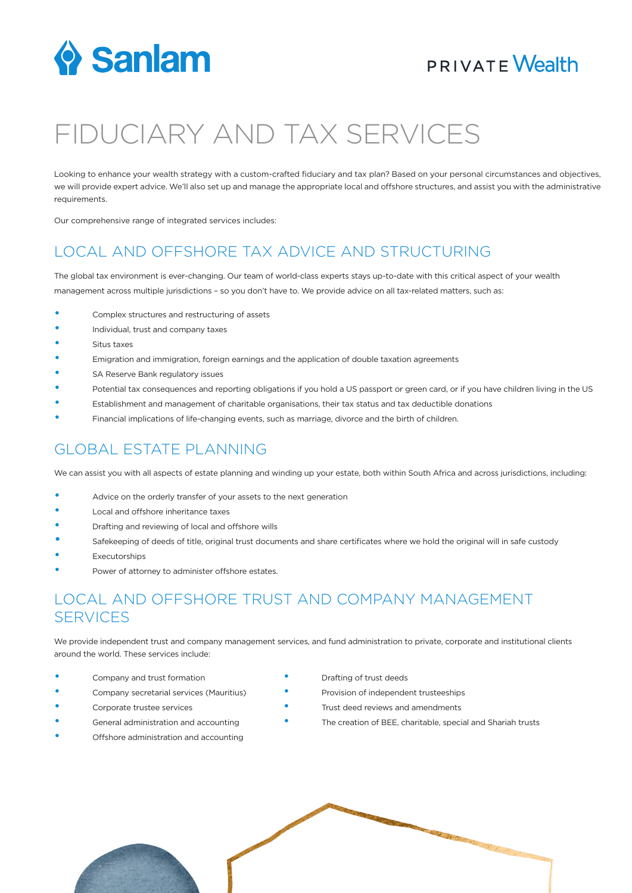

### **PRIVATE Wealth**

# FIDUCIARY AND TAX SERVICES

Looking to enhance your wealth strategy with a custom-crafted fiduciary and tax plan? Based on your personal circumstances and objectives, we will provide expert advice. We'll also set up and manage the appropriate local and offshore structures, and assist you with the administrative requirements.

Our comprehensive range of integrated services includes:

### LOCAL AND OFFSHORE TAX ADVICE AND STRUCTURING

The global tax environment is ever-changing. Our team of world-class experts stays up-to-date with this critical aspect of your wealth management across multiple jurisdictions – so you don't have to. We provide advice on all tax-related matters, such as:

- Complex structures and restructuring of assets
- Individual, trust and company taxes
- Situs taxes
- Emigration and immigration, foreign earnings and the application of double taxation agreements
- SA Reserve Bank regulatory issues
- Potential tax consequences and reporting obligations if you hold a US passport or green card, or if you have children living in the US
- Establishment and management of charitable organisations, their tax status and tax deductible donations
- Financial implications of life-changing events, such as marriage, divorce and the birth of children.

#### GLOBAL ESTATE PLANNING

We can assist you with all aspects of estate planning and winding up your estate, both within South Africa and across jurisdictions, including:

- Advice on the orderly transfer of your assets to the next generation
- Local and offshore inheritance taxes
- Drafting and reviewing of local and offshore wills
- Safekeeping of deeds of title, original trust documents and share certificates where we hold the original will in safe custody
- **Executorships**
- Power of attorney to administer offshore estates.

### LOCAL AND OFFSHORE TRUST AND COMPANY MANAGEMENT **SERVICES**

We provide independent trust and company management services, and fund administration to private, corporate and institutional clients around the world. These services include:

- Company and trust formation **•** Drafting of trust deeds
- 

• Offshore administration and accounting

- 
- Company secretarial services (Mauritius) Provision of independent trusteeships
- Corporate trustee services Trust deed reviews and amendments
- General administration and accounting **•** • • The creation of BEE, charitable, special and Shariah trusts